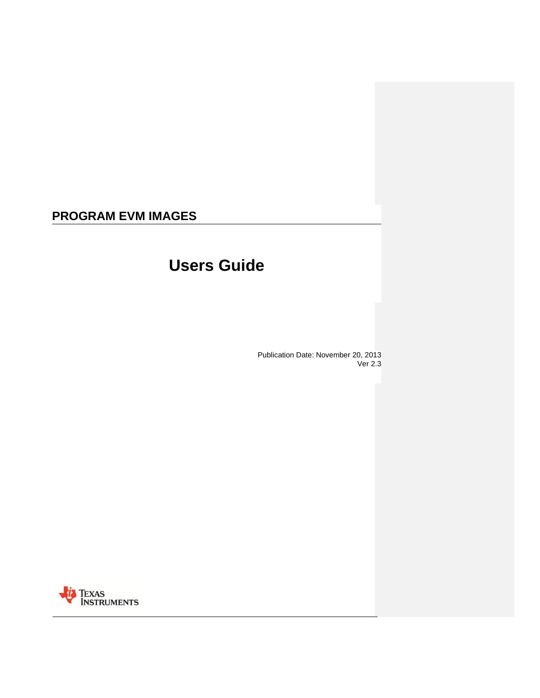# **PROGRAM EVM IMAGES**

# **Users Guide**

Publication Date: November 20, 2013 Ver 2.3

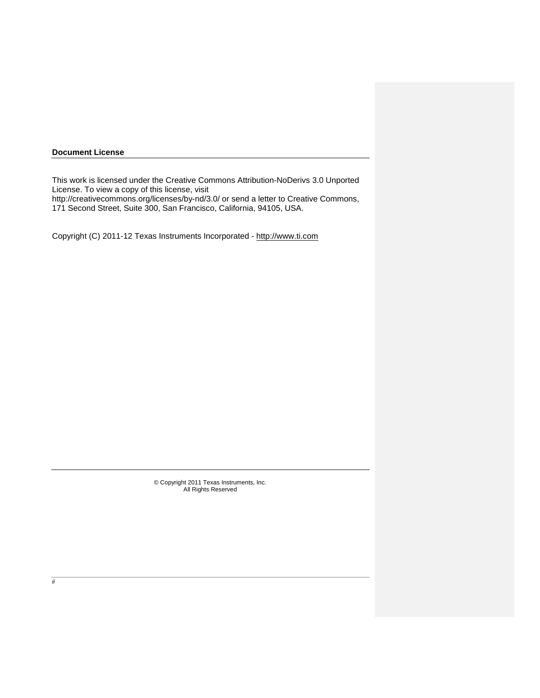## **Document License**

This work is licensed under the Creative Commons Attribution-NoDerivs 3.0 Unported License. To view a copy of this license, visit

http://creativecommons.org/licenses/by-nd/3.0/ or send a letter to Creative Commons, 171 Second Street, Suite 300, San Francisco, California, 94105, USA.

Copyright (C) 2011-12 Texas Instruments Incorporated - [http://www.ti.com](http://www.ti.com/)

© Copyright 2011 Texas Instruments, Inc. All Rights Reserved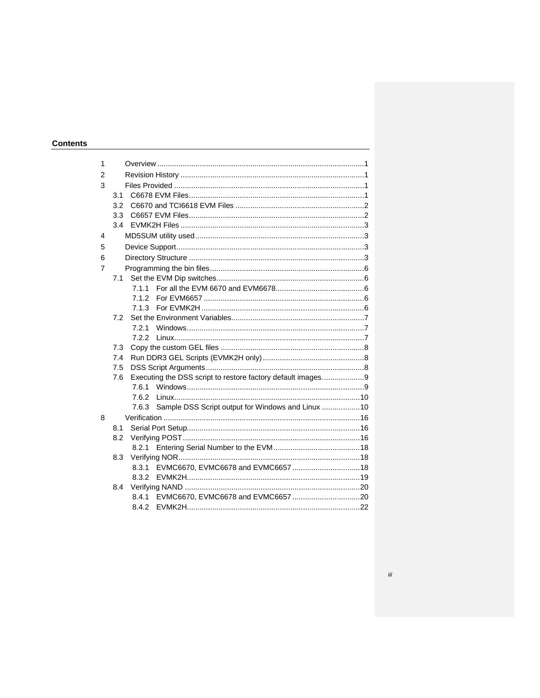# Contents

| 1 |     |       |                                                             |  |
|---|-----|-------|-------------------------------------------------------------|--|
| 2 |     |       |                                                             |  |
| 3 |     |       |                                                             |  |
|   | 3.1 |       |                                                             |  |
|   | 3.2 |       |                                                             |  |
|   | 3.3 |       |                                                             |  |
|   | 3.4 |       |                                                             |  |
| 4 |     |       |                                                             |  |
| 5 |     |       |                                                             |  |
| 6 |     |       |                                                             |  |
| 7 |     |       |                                                             |  |
|   | 7.1 |       |                                                             |  |
|   |     |       |                                                             |  |
|   |     | 7.1.2 |                                                             |  |
|   |     | 7.1.3 |                                                             |  |
|   | 7.2 |       |                                                             |  |
|   |     | 7.2.1 |                                                             |  |
|   |     | 7.2.2 |                                                             |  |
|   | 7.3 |       |                                                             |  |
|   | 7.4 |       |                                                             |  |
|   | 7.5 |       |                                                             |  |
|   | 7.6 |       | Executing the DSS script to restore factory default images9 |  |
|   |     | 7.6.1 |                                                             |  |
|   |     | 7.6.2 |                                                             |  |
|   |     | 7.6.3 | Sample DSS Script output for Windows and Linux 10           |  |
| 8 |     |       |                                                             |  |
|   | 8.1 |       |                                                             |  |
|   | 8.2 |       |                                                             |  |
|   |     | 8.2.1 |                                                             |  |
|   | 8.3 |       |                                                             |  |
|   |     | 8.3.1 |                                                             |  |
|   |     | 8.3.2 |                                                             |  |
|   | 8.4 |       |                                                             |  |
|   |     | 8.4.1 |                                                             |  |
|   |     | 8.4.2 |                                                             |  |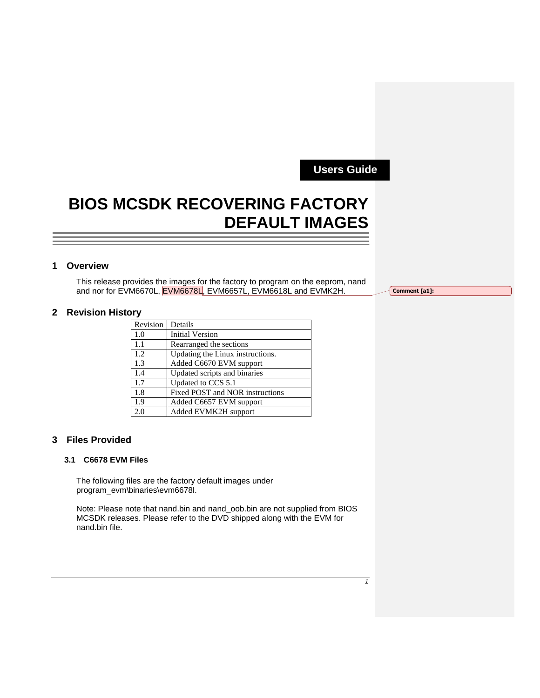**Users Guide** 

# **BIOS MCSDK RECOVERING FACTORY DEFAULT IMAGES**

# **1 Overview**

This release provides the images for the factory to program on the eeprom, nand and nor for EVM6670L, EVM6678L, EVM6657L, EVM6618L and EVMK2H.

**Comment [a1]:** 

# **2 Revision History**

| Revision | Details                          |
|----------|----------------------------------|
| 1.0      | <b>Initial Version</b>           |
| 1.1      | Rearranged the sections          |
| 1.2      | Updating the Linux instructions. |
| 1.3      | Added C6670 EVM support          |
| 1.4      | Updated scripts and binaries     |
| 1.7      | Updated to CCS 5.1               |
| 1.8      | Fixed POST and NOR instructions  |
| 1.9      | Added C6657 EVM support          |
| 2.0      | Added EVMK2H support             |

# **3 Files Provided**

## **3.1 C6678 EVM Files**

The following files are the factory default images under program\_evm\binaries\evm6678l.

Note: Please note that nand.bin and nand\_oob.bin are not supplied from BIOS MCSDK releases. Please refer to the DVD shipped along with the EVM for nand.bin file.

*1*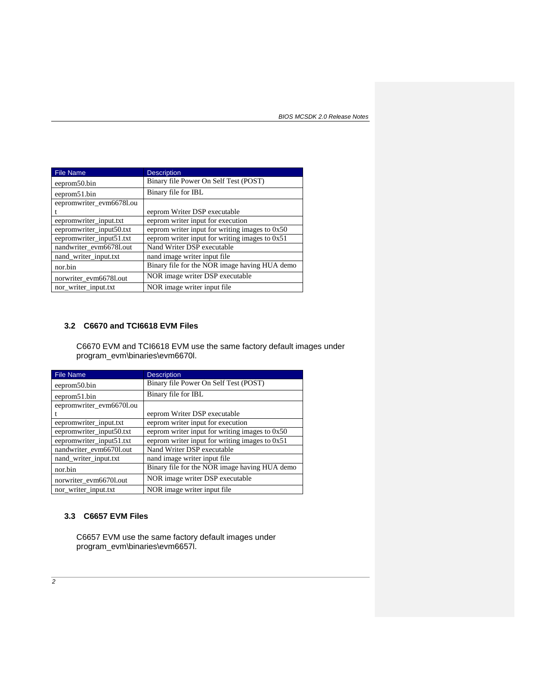| <b>File Name</b>         | <b>Description</b>                               |
|--------------------------|--------------------------------------------------|
| eeprom50.bin             | Binary file Power On Self Test (POST)            |
| eeprom51.bin             | Binary file for IBL                              |
| eepromwriter_evm6678l.ou |                                                  |
|                          | eeprom Writer DSP executable                     |
| eepromwriter_input.txt   | eeprom writer input for execution                |
| eepromwriter_input50.txt | eeprom writer input for writing images to $0x50$ |
| eepromwriter_input51.txt | eeprom writer input for writing images to $0x51$ |
| nandwriter evm6678l.out  | Nand Writer DSP executable                       |
| nand_writer_input.txt    | nand image writer input file                     |
| nor.bin                  | Binary file for the NOR image having HUA demo    |
| norwriter_evm6678l.out   | NOR image writer DSP executable                  |
| nor_writer_input.txt     | NOR image writer input file                      |

# **3.2 C6670 and TCI6618 EVM Files**

C6670 EVM and TCI6618 EVM use the same factory default images under program\_evm\binaries\evm6670l.

| <b>File Name</b>         | <b>Description</b>                               |
|--------------------------|--------------------------------------------------|
| eeprom50.bin             | Binary file Power On Self Test (POST)            |
| eeprom51.bin             | Binary file for IBL                              |
| eepromwriter_evm6670l.ou |                                                  |
|                          | eeprom Writer DSP executable                     |
| eepromwriter_input.txt   | eeprom writer input for execution                |
| eepromwriter_input50.txt | eeprom writer input for writing images to 0x50   |
| eepromwriter_input51.txt | eeprom writer input for writing images to $0x51$ |
| nandwriter_evm6670l.out  | Nand Writer DSP executable                       |
| nand_writer_input.txt    | nand image writer input file                     |
| nor.bin                  | Binary file for the NOR image having HUA demo    |
| norwriter_evm66701.out   | NOR image writer DSP executable                  |
| nor_writer_input.txt     | NOR image writer input file.                     |

# **3.3 C6657 EVM Files**

C6657 EVM use the same factory default images under program\_evm\binaries\evm6657l.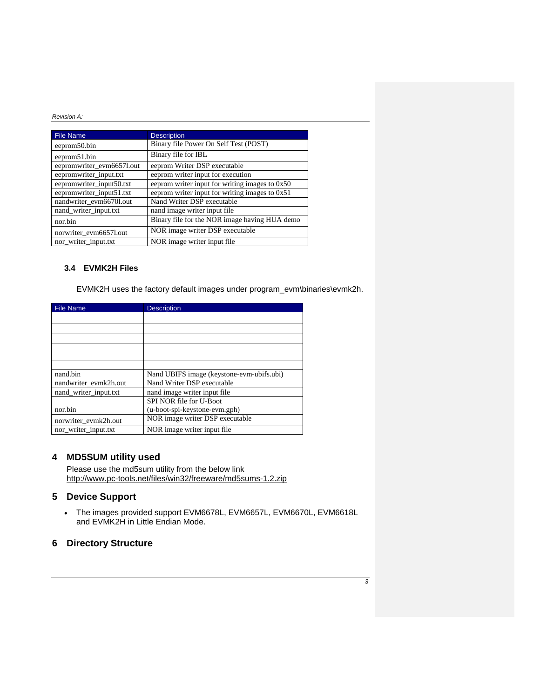| <b>File Name</b>          | <b>Description</b>                             |
|---------------------------|------------------------------------------------|
| eeprom50.bin              | Binary file Power On Self Test (POST)          |
| eeprom51.bin              | Binary file for IBL                            |
| eepromwriter_evm6657l.out | eeprom Writer DSP executable                   |
| eepromwriter_input.txt    | eeprom writer input for execution              |
| eepromwriter_input50.txt  | eeprom writer input for writing images to 0x50 |
| eepromwriter_input51.txt  | eeprom writer input for writing images to 0x51 |
| nandwriter_evm6670l.out   | Nand Writer DSP executable                     |
| nand_writer_input.txt     | nand image writer input file                   |
| nor.bin                   | Binary file for the NOR image having HUA demo  |
| norwriter_evm6657l.out    | NOR image writer DSP executable                |
| nor_writer_input.txt      | NOR image writer input file                    |

# **3.4 EVMK2H Files**

EVMK2H uses the factory default images under program\_evm\binaries\evmk2h.

| <b>File Name</b>      | <b>Description</b>                        |
|-----------------------|-------------------------------------------|
|                       |                                           |
|                       |                                           |
|                       |                                           |
|                       |                                           |
|                       |                                           |
|                       |                                           |
| nand.bin              | Nand UBIFS image (keystone-evm-ubifs.ubi) |
| nandwriter evmk2h.out | Nand Writer DSP executable                |
| nand writer input.txt | nand image writer input file              |
|                       | SPI NOR file for U-Boot                   |
| nor.bin               | (u-boot-spi-keystone-evm.gph)             |
| norwriter_evmk2h.out  | NOR image writer DSP executable           |
| nor_writer_input.txt  | NOR image writer input file               |

# **4 MD5SUM utility used**

Please use the md5sum utility from the below link <http://www.pc-tools.net/files/win32/freeware/md5sums-1.2.zip>

# **5 Device Support**

 The images provided support EVM6678L, EVM6657L, EVM6670L, EVM6618L and EVMK2H in Little Endian Mode.

# **6 Directory Structure**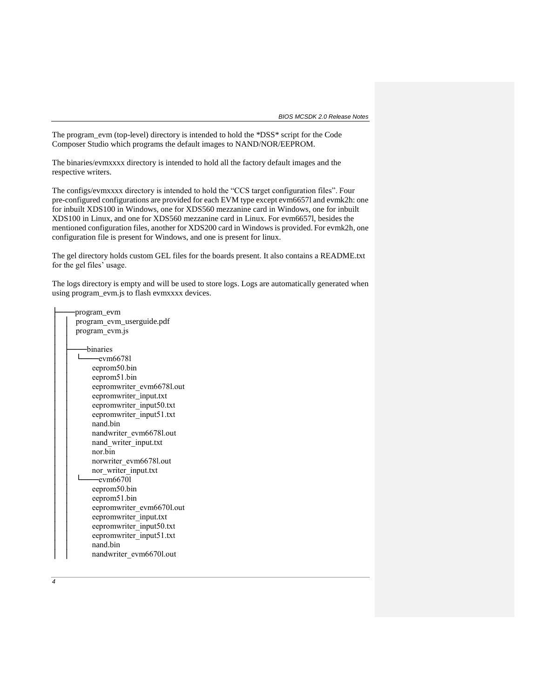The program\_evm (top-level) directory is intended to hold the \*DSS\* script for the Code Composer Studio which programs the default images to NAND/NOR/EEPROM.

The binaries/evmxxxx directory is intended to hold all the factory default images and the respective writers.

The configs/evmxxxx directory is intended to hold the "CCS target configuration files". Four pre-configured configurations are provided for each EVM type except evm6657l and evmk2h: one for inbuilt XDS100 in Windows, one for XDS560 mezzanine card in Windows, one for inbuilt XDS100 in Linux, and one for XDS560 mezzanine card in Linux. For evm6657l, besides the mentioned configuration files, another for XDS200 card in Windows is provided. For evmk2h, one configuration file is present for Windows, and one is present for linux.

The gel directory holds custom GEL files for the boards present. It also contains a README.txt for the gel files' usage.

The logs directory is empty and will be used to store logs. Logs are automatically generated when using program\_evm.js to flash evmxxxx devices.

| program_evm               |
|---------------------------|
| program evm_userguide.pdf |
| program_evm.js            |
|                           |
| hinaries                  |
| —evm66781                 |
| eeprom50.bin              |
| eeprom51.bin              |
| eepromwriter evm6678l.out |
| eepromwriter_input.txt    |
| eepromwriter input50.txt  |
| eepromwriter input51.txt  |
| nand bin                  |
| nandwriter evm6678l.out   |
| nand writer input.txt     |
| nor bin                   |
| norwriter evm6678l.out    |
| nor writer input.txt      |
| -evm66701                 |
| eeprom50.bin              |
| eeprom51.bin              |
| eepromwriter_evm6670l.out |
| eepromwriter_input.txt    |
| eepromwriter input50.txt  |
| eepromwriter input51.txt  |
| nand.bin                  |
| nandwriter evm66701.out   |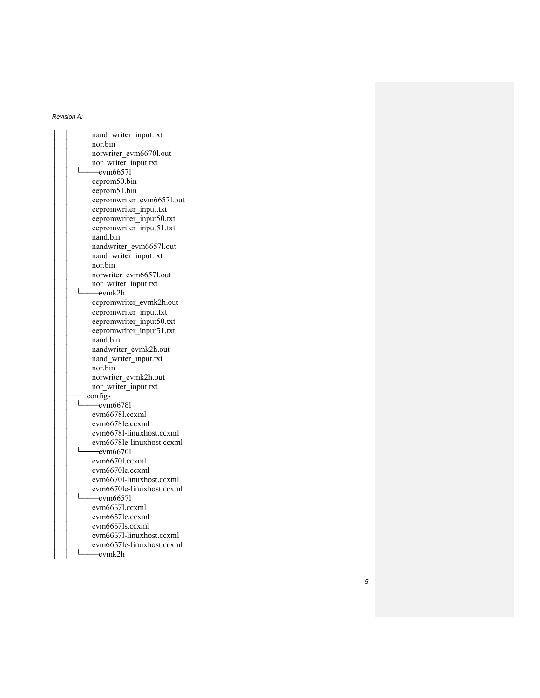│ │ nand\_writer\_input.tx t nor.bin norwriter\_evm6670l.out nor\_writer\_input.txt  $\overline{\phantom{0}}$  evm6657l eeprom50.bin eeprom51.bin eepromwriter\_evm6657l.out eepromwriter\_input.txt eepromwriter\_input50.txt eepromwriter\_input51.txt nand.bin nandwriter\_evm6657l.out nand\_writer\_input.txt nor.bin norwriter\_evm6657l.out  $\frac{1}{2}$  nor\_writer\_input.txt │ │ └───evmk2h eepromwriter\_evmk2h.out eepromwriter\_input.txt eepromwriter\_input50.txt eepromwriter\_input51.txt nand.bin nandwriter\_evmk2h.out nand\_writer\_input.txt  $nor.bin$ norwriter\_evmk2h.out nor\_writer\_input.txt  $\frac{\text{configs}}{\text{L}_{\text{new}}}$  $-evm66781$  $evm6678$ l.ccxml evm6678le.ccxml │ │ evm6678l -linuxhost.ccxml │ │ evm6678le -linuxhost.ccxml │ │ └───evm6670l evm6670l.ccxml evm6670le.ccxml │ │ evm6670l -linuxhost.ccxml │ │ evm6670le -linuxhost.ccxml  $\frac{1}{\text{evm}6657}$ evm6657l.ccxml evm6657le.ccxml │ │ evm6657 l s.ccxml │ │ evm6657 l -linuxhost.ccxml │ │ evm6657le -linuxhost.ccxml  $-evmk2h$ 

*5*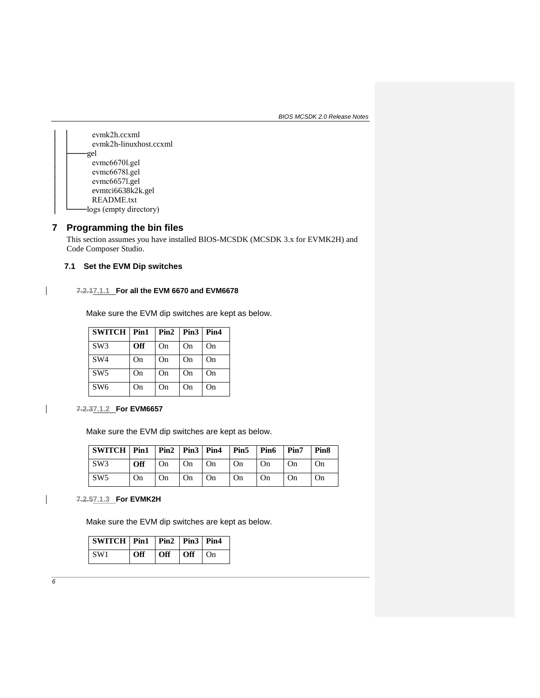*BIOS MCSDK 2.0 Release Notes*



# **7 Programming the bin files**

This section assumes you have installed BIOS-MCSDK (MCSDK 3.x for EVMK2H) and Code Composer Studio.

# **7.1 Set the EVM Dip switches**

# **7.2.17.1.1 For all the EVM 6670 and EVM6678**

Make sure the EVM dip switches are kept as below.

| <b>SWITCH Pin1</b> |            | $Pin2$   $Pin3$ |    | Pin4 |
|--------------------|------------|-----------------|----|------|
| SW <sub>3</sub>    | <b>Off</b> | On              | On | On   |
| SW <sub>4</sub>    | On         | On              | On | On   |
| SW5                | On         | On              | On | On   |
| SW <sub>6</sub>    | On         | On              | On | On   |

**7.2.37.1.2 For EVM6657** 

Make sure the EVM dip switches are kept as below.

| SWITCH   Pin1   Pin2   Pin3   Pin4   Pin5   Pin6   Pin7   Pin8 |    |  |              |                                                                         |    |           |           |
|----------------------------------------------------------------|----|--|--------------|-------------------------------------------------------------------------|----|-----------|-----------|
| SW3                                                            |    |  |              | $\vert \text{Off} \vert$ On $\vert$ On $\vert$ On $\vert$ On $\vert$ On |    | $1$ On    | <b>On</b> |
| $\sim$ SW5                                                     | On |  | On   On   On |                                                                         | On | $\Box$ On | On        |

**7.2.57.1.3 For EVMK2H**

Make sure the EVM dip switches are kept as below.

| $ $ SWITCH $ $ Pin1 $ $ Pin2 $ $ Pin3 $ $ Pin4 |     |     |                                 |  |
|------------------------------------------------|-----|-----|---------------------------------|--|
| SW1                                            | Off | Off | $\overline{or}$ $\overline{or}$ |  |

 $\overline{\phantom{a}}$ 

 $\overline{\phantom{a}}$ 

 $\overline{\phantom{a}}$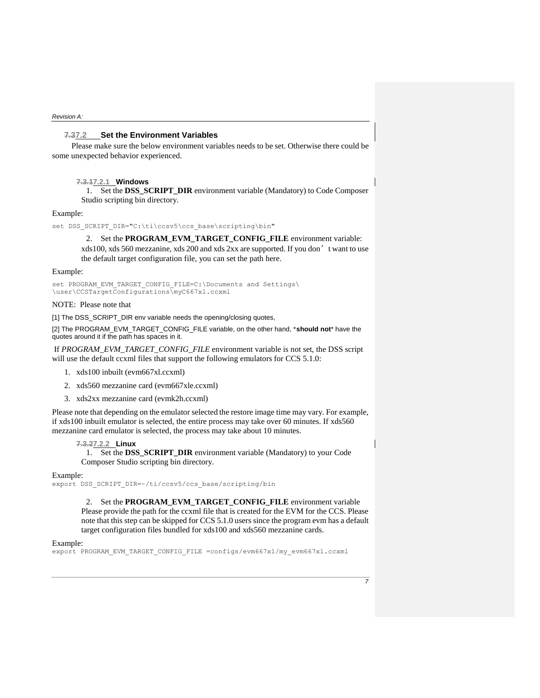### **7.37.2 Set the Environment Variables**

Please make sure the below environment variables needs to be set. Otherwise there could be some unexpected behavior experienced.

#### **7.3.17.2.1 Windows**

1. Set the **DSS\_SCRIPT\_DIR** environment variable (Mandatory) to Code Composer Studio scripting bin directory.

#### Example:

set DSS SCRIPT DIR="C:\ti\ccsv5\ccs base\scripting\bin"

2. Set the **PROGRAM\_EVM\_TARGET\_CONFIG\_FILE** environment variable: xds100, xds 560 mezzanine, xds 200 and xds 2xx are supported. If you don't want to use the default target configuration file, you can set the path here.

#### Example:

set PROGRAM\_EVM\_TARGET\_CONFIG\_FILE=C:\Documents and Settings\ \user\CCSTargetConfigurations\myC667xl.ccxml

### NOTE: Please note that

[1] The DSS\_SCRIPT\_DIR env variable needs the opening/closing quotes,

[2] The PROGRAM\_EVM\_TARGET\_CONFIG\_FILE variable, on the other hand, \***should not**\* have the quotes around it if the path has spaces in it.

If *PROGRAM\_EVM\_TARGET\_CONFIG\_FILE* environment variable is not set, the DSS script will use the default ccxml files that support the following emulators for CCS 5.1.0:

- 1. xds100 inbuilt (evm667xl.ccxml)
- 2. xds560 mezzanine card (evm667xle.ccxml)
- 3. xds2xx mezzanine card (evmk2h.ccxml)

Please note that depending on the emulator selected the restore image time may vary. For example, if xds100 inbuilt emulator is selected, the entire process may take over 60 minutes. If xds560 mezzanine card emulator is selected, the process may take about 10 minutes.

#### **7.3.27.2.2 Linux**

1. Set the **DSS\_SCRIPT\_DIR** environment variable (Mandatory) to your Code Composer Studio scripting bin directory.

#### Example:

export DSS\_SCRIPT\_DIR=~/ti/ccsv5/ccs\_base/scripting/bin

2. Set the **PROGRAM\_EVM\_TARGET\_CONFIG\_FILE** environment variable Please provide the path for the ccxml file that is created for the EVM for the CCS. Please note that this step can be skipped for CCS 5.1.0 users since the program evm has a default target configuration files bundled for xds100 and xds560 mezzanine cards.

#### Example:

export PROGRAM\_EVM\_TARGET\_CONFIG\_FILE =configs/evm667xl/my\_evm667xl.ccxml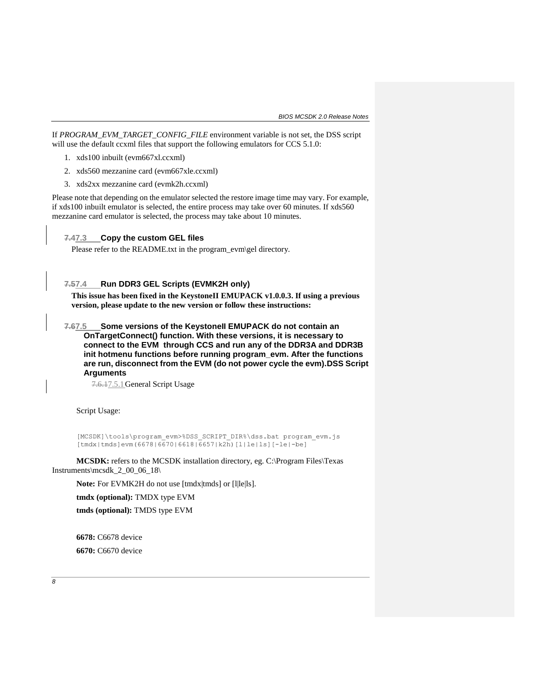If *PROGRAM\_EVM\_TARGET\_CONFIG\_FILE* environment variable is not set, the DSS script will use the default ccxml files that support the following emulators for CCS 5.1.0:

- 1. xds100 inbuilt (evm667xl.ccxml)
- 2. xds560 mezzanine card (evm667xle.ccxml)
- 3. xds2xx mezzanine card (evmk2h.ccxml)

Please note that depending on the emulator selected the restore image time may vary. For example, if xds100 inbuilt emulator is selected, the entire process may take over 60 minutes. If xds560 mezzanine card emulator is selected, the process may take about 10 minutes.

**7.47.3 Copy the custom GEL files**

Please refer to the README.txt in the program\_evm\gel directory.

### **7.57.4 Run DDR3 GEL Scripts (EVMK2H only)**

**This issue has been fixed in the KeystoneII EMUPACK v1.0.0.3. If using a previous version, please update to the new version or follow these instructions:** 

**7.67.5 Some versions of the KeystoneII EMUPACK do not contain an OnTargetConnect() function. With these versions, it is necessary to connect to the EVM through CCS and run any of the DDR3A and DDR3B init hotmenu functions before running program\_evm. After the functions are run, disconnect from the EVM (do not power cycle the evm).DSS Script Arguments**

7.6.17.5.1General Script Usage

Script Usage:

[MCSDK]\tools\program\_evm>%DSS\_SCRIPT\_DIR%\dss.bat program\_evm.js  $[tmdx|tmds]$ evm $(6678|6670|6618|\overline{6}657|k2\overline{h})$  $[1|le|ls]$  $[-le|-be]$ 

**MCSDK:** refers to the MCSDK installation directory, eg. C:\Program Files\Texas Instruments\mcsdk\_2\_00\_06\_18\

Note: For EVMK2H do not use [tmdx|tmds] or [l|le|ls].

**tmdx (optional):** TMDX type EVM

**tmds (optional):** TMDS type EVM

**6678:** C6678 device **6670:** C6670 device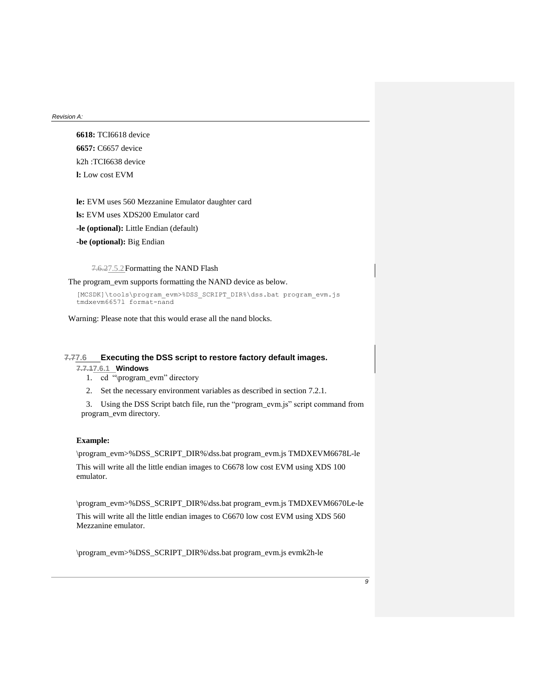**6618:** TCI6618 device **6657:** C6657 device k2h :TCI6638 device **l:** Low cost EVM

**le:** EVM uses 560 Mezzanine Emulator daughter card **ls:** EVM uses XDS200 Emulator card

**-le (optional):** Little Endian (default)

**-be (optional):** Big Endian

7.6.27.5.2Formatting the NAND Flash

The program\_evm supports formatting the NAND device as below.

[MCSDK]\tools\program\_evm>%DSS\_SCRIPT\_DIR%\dss.bat program\_evm.js tmdxevm6657l format-nand

Warning: Please note that this would erase all the nand blocks.

### **7.77.6 Executing the DSS script to restore factory default images.**

## **7.7.17.6.1 Windows**

- 1. cd "\program\_evm" directory
- 2. Set the necessary environment variables as described in section 7.2.1.

3. Using the DSS Script batch file, run the "program\_evm.js" script command from program\_evm directory.

# **Example:**

\program\_evm>%DSS\_SCRIPT\_DIR%\dss.bat program\_evm.js TMDXEVM6678L-le This will write all the little endian images to C6678 low cost EVM using XDS 100

emulator.

\program\_evm>%DSS\_SCRIPT\_DIR%\dss.bat program\_evm.js TMDXEVM6670Le-le

This will write all the little endian images to C6670 low cost EVM using XDS 560 Mezzanine emulator.

\program\_evm>%DSS\_SCRIPT\_DIR%\dss.bat program\_evm.js evmk2h-le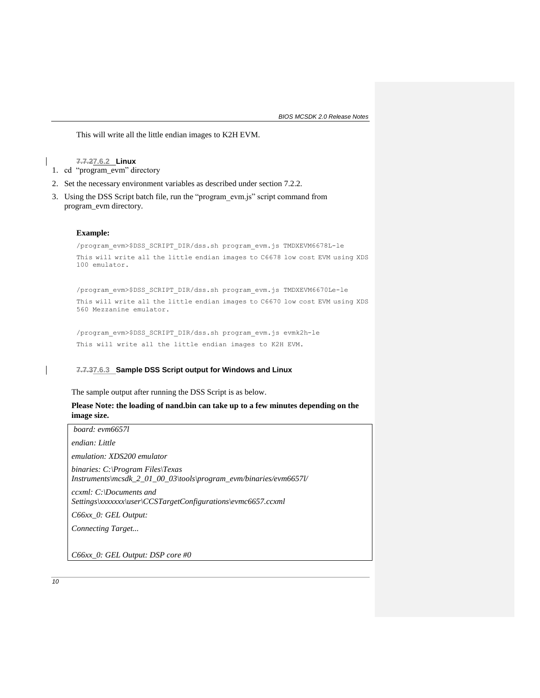*BIOS MCSDK 2.0 Release Notes*

This will write all the little endian images to K2H EVM.

**7.7.27.6.2 Linux** 1. cd "program\_evm" directory

- 2. Set the necessary environment variables as described under section 7.2.2.
- 3. Using the DSS Script batch file, run the "program\_evm.js" script command from program\_evm directory.

### **Example:**

/program\_evm>\$DSS\_SCRIPT\_DIR/dss.sh program\_evm.js TMDXEVM6678L-le This will write all the little endian images to C6678 low cost EVM using XDS 100 emulator.

/program\_evm>\$DSS\_SCRIPT\_DIR/dss.sh program\_evm.js TMDXEVM6670Le-le This will write all the little endian images to C6670 low cost EVM using XDS 560 Mezzanine emulator.

/program\_evm>\$DSS\_SCRIPT\_DIR/dss.sh program\_evm.js evmk2h-le This will write all the little endian images to K2H EVM.

### **7.7.37.6.3 Sample DSS Script output for Windows and Linux**

The sample output after running the DSS Script is as below.

### **Please Note: the loading of nand.bin can take up to a few minutes depending on the image size.**

*board: evm6657l endian: Little*

*emulation: XDS200 emulator*

*binaries: C:\Program Files\Texas Instruments\mcsdk\_2\_01\_00\_03\tools\program\_evm/binaries/evm6657l/*

*ccxml: C:\Documents and Settings\xxxxxxx\user\CCSTargetConfigurations\evmc6657.ccxml*

*C66xx\_0: GEL Output:* 

*Connecting Target...*

*C66xx\_0: GEL Output: DSP core #0*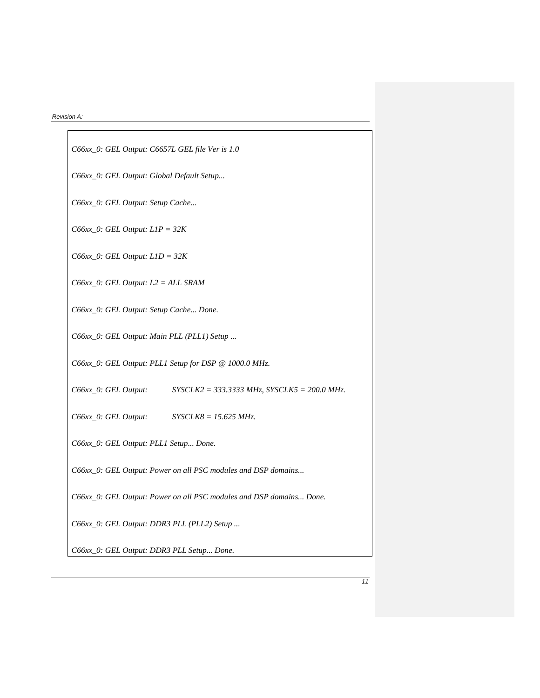*C66xx\_0: GEL Output: C6657L GEL file Ver is 1.0 C66xx\_0: GEL Output: Global Default Setup... C66xx\_0: GEL Output: Setup Cache... C66xx\_0: GEL Output: L1P = 32K C66xx\_0: GEL Output: L1D = 32K C66xx\_0: GEL Output: L2 = ALL SRAM C66xx\_0: GEL Output: Setup Cache... Done. C66xx\_0: GEL Output: Main PLL (PLL1) Setup ... C66xx\_0: GEL Output: PLL1 Setup for DSP @ 1000.0 MHz. C66xx\_0: GEL Output: SYSCLK2 = 333.3333 MHz, SYSCLK5 = 200.0 MHz. C66xx\_0: GEL Output: SYSCLK8 = 15.625 MHz. C66xx\_0: GEL Output: PLL1 Setup... Done. C66xx\_0: GEL Output: Power on all PSC modules and DSP domains... C66xx\_0: GEL Output: Power on all PSC modules and DSP domains... Done. C66xx\_0: GEL Output: DDR3 PLL (PLL2) Setup ... C66xx\_0: GEL Output: DDR3 PLL Setup... Done.*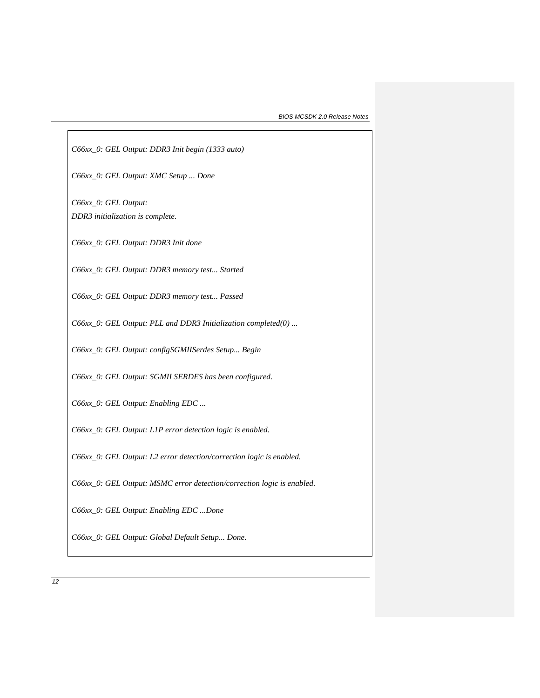*C66xx\_0: GEL Output: DDR3 Init begin (1333 auto)*

*C66xx\_0: GEL Output: XMC Setup ... Done* 

*C66xx\_0: GEL Output: DDR3 initialization is complete.*

*C66xx\_0: GEL Output: DDR3 Init done*

*C66xx\_0: GEL Output: DDR3 memory test... Started*

*C66xx\_0: GEL Output: DDR3 memory test... Passed*

*C66xx\_0: GEL Output: PLL and DDR3 Initialization completed(0) ...*

*C66xx\_0: GEL Output: configSGMIISerdes Setup... Begin*

*C66xx\_0: GEL Output: SGMII SERDES has been configured.*

*C66xx\_0: GEL Output: Enabling EDC ...*

*C66xx\_0: GEL Output: L1P error detection logic is enabled.*

*C66xx\_0: GEL Output: L2 error detection/correction logic is enabled.*

*C66xx\_0: GEL Output: MSMC error detection/correction logic is enabled.*

*C66xx\_0: GEL Output: Enabling EDC ...Done* 

*C66xx\_0: GEL Output: Global Default Setup... Done.*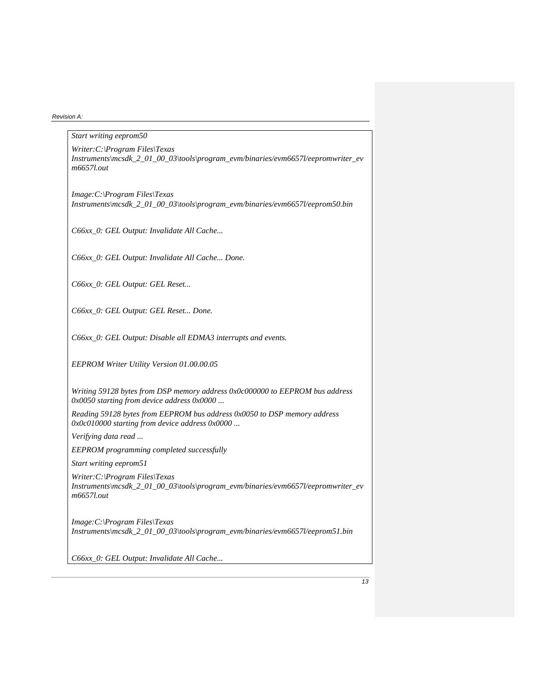| Start writing eeprom50                                                                                                               |
|--------------------------------------------------------------------------------------------------------------------------------------|
| $Writer:C:\PProgram \ Files\Texas$<br>Instruments\mcsdk_2_01_00_03\tools\program_evm/binaries/evm6657l/eepromwriter_ev<br>m6657l.out |
| $Image:C:\$ Program Files\Texas<br>Instruments\mcsdk_2_01_00_03\tools\program_evm/binaries/evm6657l/eeprom50.bin                     |
| C66xx_0: GEL Output: Invalidate All Cache                                                                                            |
| C66xx_0: GEL Output: Invalidate All Cache Done.                                                                                      |
| C66xx_0: GEL Output: GEL Reset                                                                                                       |
| C66xx_0: GEL Output: GEL Reset Done.                                                                                                 |
| C66xx_0: GEL Output: Disable all EDMA3 interrupts and events.                                                                        |
| EEPROM Writer Utility Version 01.00.00.05                                                                                            |
| Writing 59128 bytes from DSP memory address 0x0c000000 to EEPROM bus address<br>$0x0050$ starting from device address $0x0000$       |
| Reading 59128 bytes from EEPROM bus address 0x0050 to DSP memory address<br>0x0c010000 starting from device address 0x0000           |
| Verifying data read                                                                                                                  |
| EEPROM programming completed successfully                                                                                            |
| Start writing eeprom51                                                                                                               |
| Writer: C:\Program Files\Texas<br>Instruments\mcsdk_2_01_00_03\tools\program_evm/binaries/evm6657l/eepromwriter_ev<br>m6657l.out     |
| $Image:C:\$ Program Files\Texas<br>Instruments\mcsdk 2 01 00 03\tools\program_evm/binaries/evm6657l/eeprom51.bin                     |
| C66xx_0: GEL Output: Invalidate All Cache                                                                                            |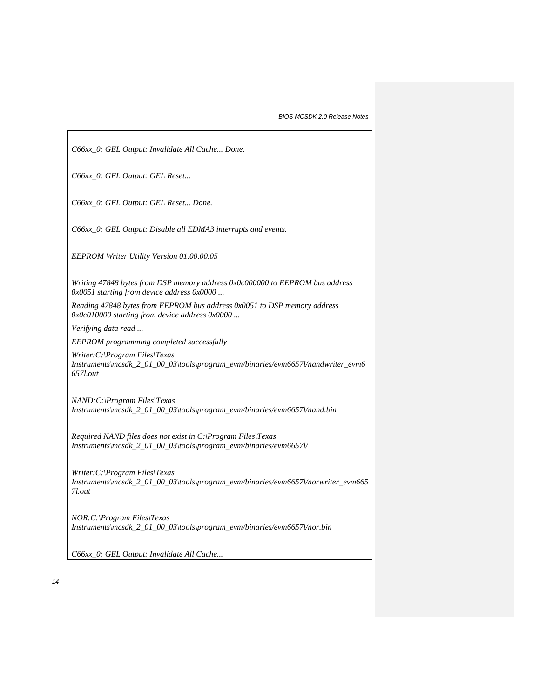| C66xx_0: GEL Output: Invalidate All Cache Done.                                                                                          |
|------------------------------------------------------------------------------------------------------------------------------------------|
| C66xx_0: GEL Output: GEL Reset                                                                                                           |
| C66xx_0: GEL Output: GEL Reset Done.                                                                                                     |
| C66xx_0: GEL Output: Disable all EDMA3 interrupts and events.                                                                            |
| EEPROM Writer Utility Version 01.00.00.05                                                                                                |
| Writing 47848 bytes from DSP memory address 0x0c000000 to EEPROM bus address<br>0x0051 starting from device address 0x0000               |
| Reading 47848 bytes from EEPROM bus address 0x0051 to DSP memory address<br>0x0c010000 starting from device address 0x0000               |
| Verifying data read                                                                                                                      |
| EEPROM programming completed successfully                                                                                                |
| $Writer:C:\$ Program Files\Texas<br>Instruments\mcsdk_2_01_00_03\tools\program_evm/binaries/evm6657l/nandwriter_evm6<br>657 <i>l.out</i> |
| NAND: C:\Program Files\Texas<br>Instruments\mcsdk_2_01_00_03\tools\program_evm/binaries/evm6657l/nand.bin                                |
| Required NAND files does not exist in $C$ : Program Files Texas<br>Instruments\mcsdk_2_01_00_03\tools\program_evm/binaries/evm6657l/     |
| $Writer:C:\$ Program Files\Texas<br>Instruments\mcsdk_2_01_00_03\tools\program_evm/binaries/evm6657l/norwriter_evm665<br>7l.out          |
| $NOR:C:\rangle Program \ Files\} Texas$<br>$Instruments/mcsdk_2_01_00_03\to program_$ evm/binaries/evm6657l/nor.bin                      |
| C66xx_0: GEL Output: Invalidate All Cache                                                                                                |

 $\sqrt{2}$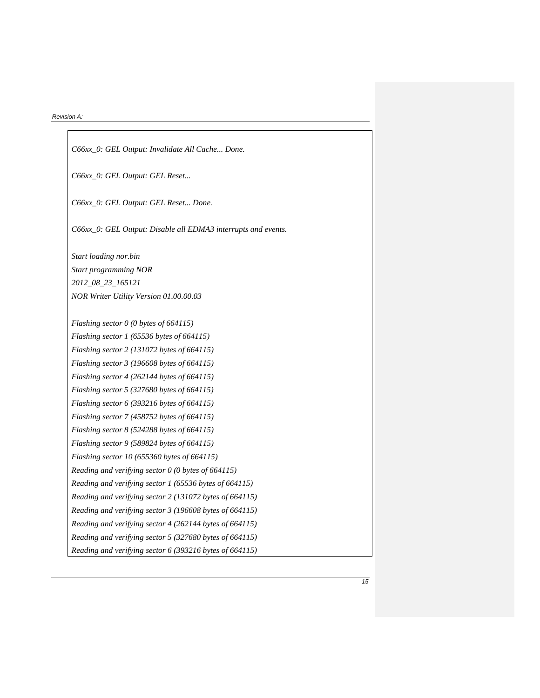| C66xx_0: GEL Output: Invalidate All Cache Done.               |
|---------------------------------------------------------------|
| C66xx_0: GEL Output: GEL Reset                                |
| C66xx_0: GEL Output: GEL Reset Done.                          |
| C66xx_0: GEL Output: Disable all EDMA3 interrupts and events. |
| Start loading nor.bin                                         |
| Start programming NOR                                         |
| 2012_08_23_165121                                             |
| NOR Writer Utility Version 01.00.00.03                        |
|                                                               |
| Flashing sector 0 (0 bytes of 664115)                         |
| Flashing sector 1 (65536 bytes of 664115)                     |
| Flashing sector 2 (131072 bytes of 664115)                    |
| Flashing sector 3 (196608 bytes of 664115)                    |
| Flashing sector 4 (262144 bytes of 664115)                    |
| Flashing sector 5 (327680 bytes of 664115)                    |
| Flashing sector 6 (393216 bytes of 664115)                    |
| Flashing sector 7 (458752 bytes of 664115)                    |
| Flashing sector $8(524288$ bytes of 664115)                   |
| Flashing sector 9 (589824 bytes of 664115)                    |
| Flashing sector 10 (655360 bytes of 664115)                   |
| Reading and verifying sector 0 (0 bytes of 664115)            |
| Reading and verifying sector 1 (65536 bytes of 664115)        |
| Reading and verifying sector 2 (131072 bytes of 664115)       |
| Reading and verifying sector 3 (196608 bytes of 664115)       |
| Reading and verifying sector 4 (262144 bytes of 664115)       |
| Reading and verifying sector 5 (327680 bytes of 664115)       |
| Reading and verifying sector 6 (393216 bytes of 664115)       |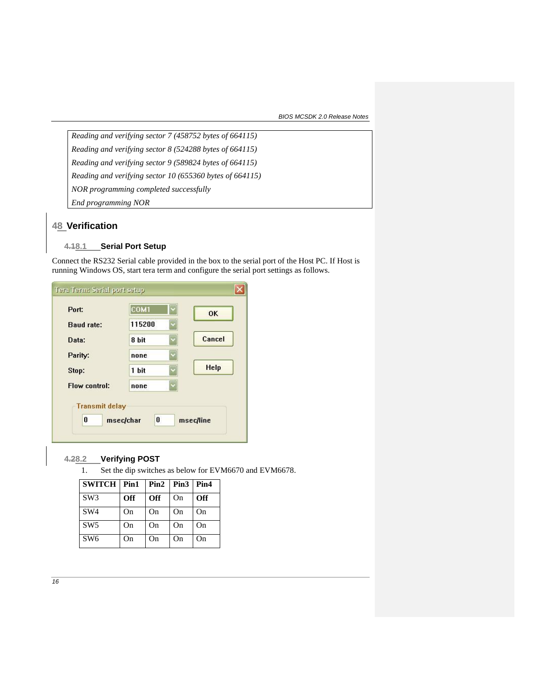*BIOS MCSDK 2.0 Release Notes*

*Reading and verifying sector 7 (458752 bytes of 664115) Reading and verifying sector 8 (524288 bytes of 664115) Reading and verifying sector 9 (589824 bytes of 664115) Reading and verifying sector 10 (655360 bytes of 664115) NOR programming completed successfully End programming NOR*

# **48 Verification**

# **4.18.1 Serial Port Setup**

Connect the RS232 Serial cable provided in the box to the serial port of the Host PC. If Host is running Windows OS, start tera term and configure the serial port settings as follows.

| Port:                | COM1   | <b>OK</b>   |
|----------------------|--------|-------------|
| <b>Baud rate:</b>    | 115200 |             |
| Data:                | 8 bit  | Cancel      |
| Parity:              | none   |             |
| Stop:                | 1 bit  | <b>Help</b> |
| <b>Flow control:</b> | none   |             |

# **4.28.2 Verifying POST**

1. Set the dip switches as below for EVM6670 and EVM6678.

| <b>SWITCH</b>   | Pin1 | Pin2 | Pin <sub>3</sub> | Pin4       |
|-----------------|------|------|------------------|------------|
| SW <sub>3</sub> | Off  | Off  | On               | <b>Off</b> |
| SW <sub>4</sub> | On   | On   | On               | On         |
| SW <sub>5</sub> | On   | On   | On               | On         |
| SW <sub>6</sub> | On   | On   | On.              | On         |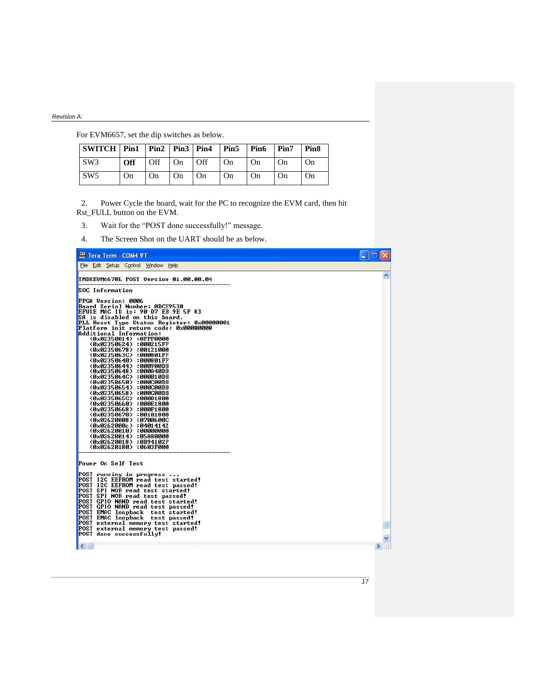For EVM6657, set the dip switches as below.

| SWITCH   Pin1   Pin2   Pin3   Pin4   Pin5   Pin6   Pin7 |            |                  |           |    |        |           |    | Pin <sub>8</sub> |
|---------------------------------------------------------|------------|------------------|-----------|----|--------|-----------|----|------------------|
| SW3                                                     | <b>Off</b> | $\overline{Off}$ | $ On$ Off |    | $1$ On | On        | On | <b>On</b>        |
| SW <sub>5</sub>                                         | On         | $^{\circ}$ On    | $+On$     | On | On     | <b>On</b> | On | On               |

2. Power Cycle the board, wait for the PC to recognize the EVM card, then hit Rst\_FULL button on the EVM.

- 3. Wait for the "POST done successfully!" message.
- 4. The Screen Shot on the UART should be as below.

| Tera Term - COM4 VT                                                                                                                                                                                                                                                                                                                                                                                                                                                                                                                                                                                                                                                                                                                                                                                                                                                         |   |
|-----------------------------------------------------------------------------------------------------------------------------------------------------------------------------------------------------------------------------------------------------------------------------------------------------------------------------------------------------------------------------------------------------------------------------------------------------------------------------------------------------------------------------------------------------------------------------------------------------------------------------------------------------------------------------------------------------------------------------------------------------------------------------------------------------------------------------------------------------------------------------|---|
| File Edit Setup Control Window Help                                                                                                                                                                                                                                                                                                                                                                                                                                                                                                                                                                                                                                                                                                                                                                                                                                         |   |
| TMDXEUM6670L POST Version 01.00.00.04<br>SOC Information<br><b>FPGA Version: 0006</b><br>Board Serial Number: 0DCE9530<br><b>EFUSE MAC ID is: 90 D7 EB 9E 5F 83</b><br>SA is disabled on this board.<br>PLL Reset Type Status Register: 0x00000001<br>Platform init return code: 0x00000000<br>Additional Information:<br><0x02350014> :0FFF0000<br>(0x02350624) :000215FF<br>(0x02350678) :00121000<br>(0x0235063C) :000801FF<br>(0x02350640) :000801FF<br>(0x02350644) :000900DB<br>(0x02350648) :000A40DB<br>(0x0235064C) :000B10DB<br><b>〈0x02350650〉:000C00DB</b><br><b>(0x02350654) :000C00DB</b><br><b>(0x02350658) :000C00DB</b><br><b>(0x0235065C) :000D1800</b><br>(0x02350660) :000E1800<br>(0x02350668) :000F1800<br>(0x02350670) :00101800<br>(0x02620008) :0700600C<br>(0x0262000c) :04014142<br><b>&lt;0x02620010&gt; :00000000</b><br>(0x02620014):05A80000 | ㅅ |
| (0x02620018):0B94102F<br>(0x02620180) :0603F000<br>Power On Self Test<br>POST running in progress<br>POST I2C EEPROM read test started!<br>POST I2C EEPROM read test passed!<br>POST SPI NOR read test started!<br>POST SPI NOR read test passed!<br>POST GPIO NAND read test started!<br>POST GPIO NAND read test passed!<br>POST EMAC loopback test started!<br>POST EMAC loopback test passed!<br>POST external memory test started!<br>POST external memory test passed!<br>POST done successfully!                                                                                                                                                                                                                                                                                                                                                                     |   |
| $\leq$ 1.000                                                                                                                                                                                                                                                                                                                                                                                                                                                                                                                                                                                                                                                                                                                                                                                                                                                                | ⋗ |

*17*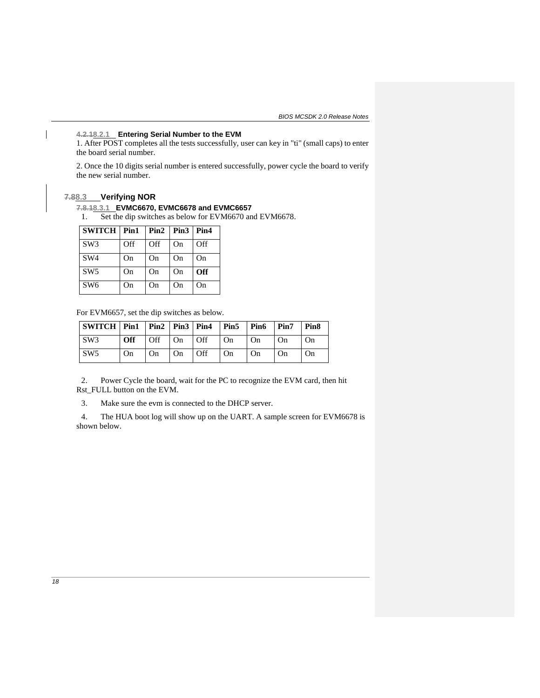### **4.2.18.2.1 Entering Serial Number to the EVM**

1. After POST completes all the tests successfully, user can key in "ti" (small caps) to enter the board serial number.

2. Once the 10 digits serial number is entered successfully, power cycle the board to verify the new serial number.

### **7.88.3 Verifying NOR**

### **7.8.18.3.1 EVMC6670, EVMC6678 and EVMC6657**

1. Set the dip switches as below for EVM6670 and EVM6678.

| $SWITCH$   Pin1 |     |     | $Pin2$   $Pin3$   $Pin4$ |     |
|-----------------|-----|-----|--------------------------|-----|
| SW3             | Off | Off | On                       | Off |
| SW <sub>4</sub> | On  | On  | On                       | On  |
| SW <sub>5</sub> | On  | On  | On                       | Off |
| SW <sub>6</sub> | On  | On  | On                       | On  |

For EVM6657, set the dip switches as below.

| SWITCH   Pin1   Pin2   Pin3   Pin4   Pin5   Pin6   Pin7   Pin8 |    |    |                                                          |    |                        |    |
|----------------------------------------------------------------|----|----|----------------------------------------------------------|----|------------------------|----|
| $\sqrt{\text{SW3}}$                                            |    |    | <b>Off</b> $\vert$ Off $\vert$ On $\vert$ Off $\vert$ On | On | $1$ On                 | On |
| $\sqrt{\text{SW5}}$                                            | On | On | On $\vert$ Off $\vert$ On                                | On | $\overline{\text{On}}$ | On |

2. Power Cycle the board, wait for the PC to recognize the EVM card, then hit Rst\_FULL button on the EVM.

3. Make sure the evm is connected to the DHCP server.

4. The HUA boot log will show up on the UART. A sample screen for EVM6678 is shown below.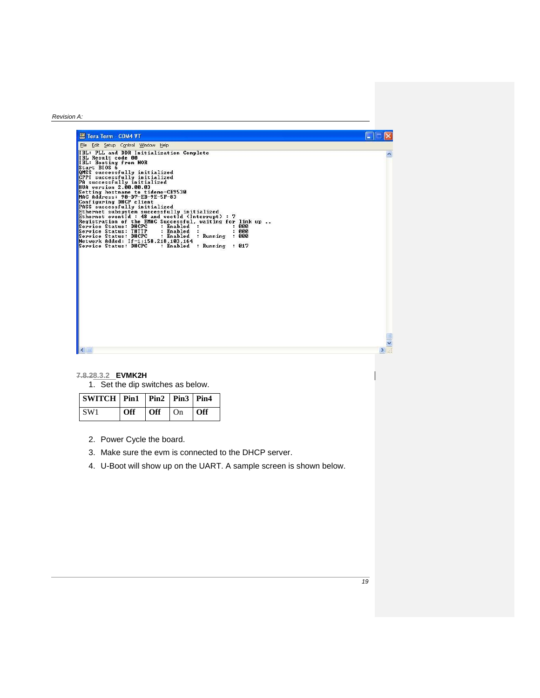| Tera Term - COM4 VT                                                                                                                                                                                                                                                                                                                                                                                                                                                                                                                                                                                                                                                                                                                                                                                                |
|--------------------------------------------------------------------------------------------------------------------------------------------------------------------------------------------------------------------------------------------------------------------------------------------------------------------------------------------------------------------------------------------------------------------------------------------------------------------------------------------------------------------------------------------------------------------------------------------------------------------------------------------------------------------------------------------------------------------------------------------------------------------------------------------------------------------|
| File Edit Setup Control Window Help                                                                                                                                                                                                                                                                                                                                                                                                                                                                                                                                                                                                                                                                                                                                                                                |
| IBL: PLL and DDR Initialization Complete<br>IBL Result code 00<br>IBL: Booting from NOR<br>Start BIOS 6<br>QMSS successfully initialized<br>CPPI successfully initialized<br>PA successfully initialized<br><b>HUA version 2.00.00.03</b><br>Setting hostname to tidemo-CE9530<br>MAC Address: 90-D7-EB-9E-5F-83<br>Configuring DHCP client<br>PASS successfully initialized<br>Ethernet subsystem successfully initialized<br>Ethernet eventId: $48$ and vectId (Interrupt): $7$<br>Registration of the EMAC Successful, waiting for link up<br>Service Status: DHCPC<br>: Enabled<br>ппп<br>- 2<br>.,<br>: 900<br>Service Status: THTTP<br>: Enabled<br>Service Status: DHCPC<br>: Running<br>: 000<br>: Enabled<br>Network Added: If-1:158.218.103.164<br>Service Status: DHCPC<br>: Enabled : Running<br>: 017 |

# **7.8.28.3.2 EVMK2H**

1. Set the dip switches as below.

| SWITCH   Pin1   Pin2   Pin3   Pin4 |                                                |  |  |
|------------------------------------|------------------------------------------------|--|--|
| SW1                                | $\vert$ Off $\vert$ Off $\vert$ On $\vert$ Off |  |  |

- 2. Power Cycle the board.
- 3. Make sure the evm is connected to the DHCP server.
- 4. U-Boot will show up on the UART. A sample screen is shown below.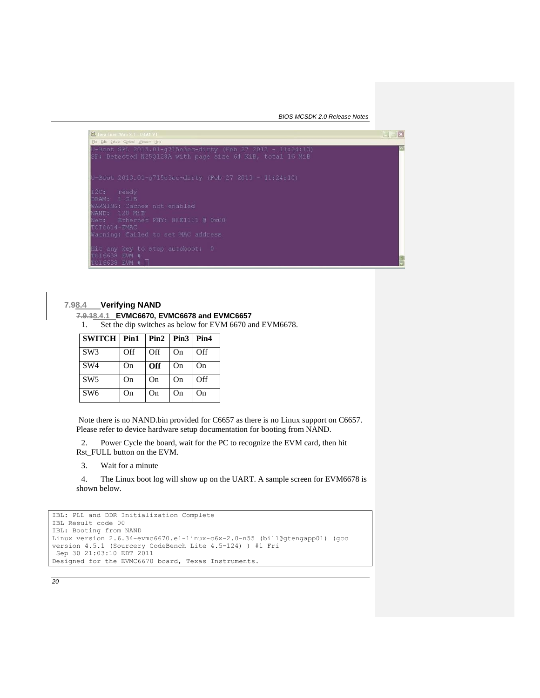*BIOS MCSDK 2.0 Release Notes*



### **7.98.4 Verifying NAND**

#### **7.9.18.4.1 EVMC6670, EVMC6678 and EVMC6657**

1. Set the dip switches as below for EVM 6670 and EVM6678.

| <b>SWITCH Pin1</b> |     | $Pin2$   $Pin3$   $Pin4$ |    |     |
|--------------------|-----|--------------------------|----|-----|
| SW <sub>3</sub>    | Off | Off                      | On | Off |
| SW <sub>4</sub>    | On  | Off                      | On | On  |
| SW5                | On  | On                       | On | Off |
| SW <sub>6</sub>    | On  | On                       | On | On  |

Note there is no NAND.bin provided for C6657 as there is no Linux support on C6657. Please refer to device hardware setup documentation for booting from NAND.

2. Power Cycle the board, wait for the PC to recognize the EVM card, then hit Rst FULL button on the EVM.

3. Wait for a minute

4. The Linux boot log will show up on the UART. A sample screen for EVM6678 is shown below.

```
IBL: PLL and DDR Initialization Complete
IBL Result code 00
IBL: Booting from NAND
Linux version 2.6.34-evmc6670.el-linux-c6x-2.0-n55 (bill@gtengapp01) (gcc 
version 4.5.1 (Sourcery CodeBench Lite 4.5-124) ) #1 Fri
Sep 30 21:03:10 EDT 2011
Designed for the EVMC6670 board, Texas Instruments.
```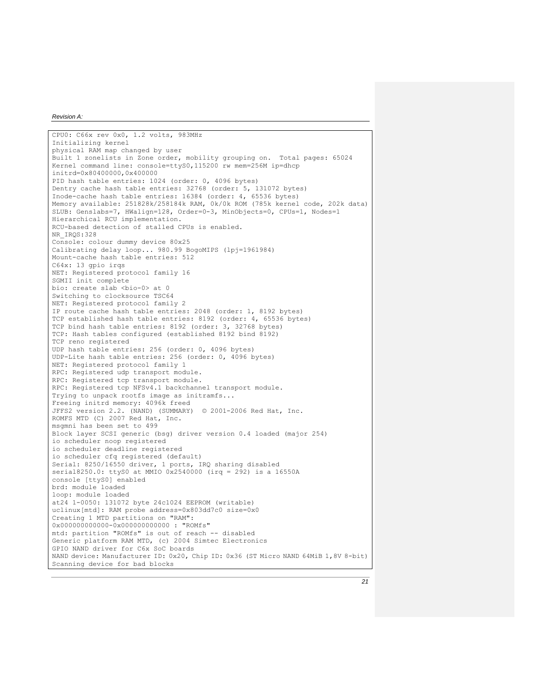CPU0: C66x rev 0x0, 1.2 volts, 983MHz Initializing kernel physical RAM map changed by user Built 1 zonelists in Zone order, mobility grouping on. Total pages: 65024 Kernel command line: console=ttyS0,115200 rw mem=256M ip=dhcp initrd=0x80400000,0x400000 PID hash table entries: 1024 (order: 0, 4096 bytes) Dentry cache hash table entries: 32768 (order: 5, 131072 bytes) Inode-cache hash table entries: 16384 (order: 4, 65536 bytes) Memory available: 251828k/258184k RAM, 0k/0k ROM (785k kernel code, 202k data) SLUB: Genslabs=7, HWalign=128, Order=0-3, MinObjects=0, CPUs=1, Nodes=1 Hierarchical RCU implementation. RCU-based detection of stalled CPUs is enabled. NR\_IRQS:328 Console: colour dummy device 80x25 Calibrating delay loop... 980.99 BogoMIPS (lpj=1961984) Mount-cache hash table entries: 512 C64x: 13 gpio irqs NET: Registered protocol family 16 SGMII init complete bio: create slab <bio-0> at 0 Switching to clocksource TSC64 NET: Registered protocol family 2 IP route cache hash table entries: 2048 (order: 1, 8192 bytes) TCP established hash table entries: 8192 (order: 4, 65536 bytes) TCP bind hash table entries: 8192 (order: 3, 32768 bytes) TCP: Hash tables configured (established 8192 bind 8192) TCP reno registered UDP hash table entries: 256 (order: 0, 4096 bytes) UDP-Lite hash table entries: 256 (order: 0, 4096 bytes) NET: Registered protocol family 1 RPC: Registered udp transport module. RPC: Registered tcp transport module. RPC: Registered tcp NFSv4.1 backchannel transport module. Trying to unpack rootfs image as initramfs... Freeing initrd memory: 4096k freed JFFS2 version 2.2. (NAND) (SUMMARY) © 2001-2006 Red Hat, Inc. ROMFS MTD (C) 2007 Red Hat, Inc. msgmni has been set to 499 Block layer SCSI generic (bsg) driver version 0.4 loaded (major 254) io scheduler noop registered io scheduler deadline registered io scheduler cfa registered (default) Serial: 8250/16550 driver, 1 ports, IRQ sharing disabled serial8250.0: ttyS0 at MMIO 0x2540000 (irq = 292) is a 16550A console [ttyS0] enabled brd: module loaded loop: module loaded at24 1-0050: 131072 byte 24c1024 EEPROM (writable) uclinux[mtd]: RAM probe address=0x803dd7c0 size=0x0 Creating 1 MTD partitions on "RAM": 0x000000000000-0x000000000000 : "ROMfs" mtd: partition "ROMfs" is out of reach -- disabled Generic platform RAM MTD, (c) 2004 Simtec Electronics GPIO NAND driver for C6x SoC boards NAND device: Manufacturer ID: 0x20, Chip ID: 0x36 (ST Micro NAND 64MiB 1,8V 8-bit) Scanning device for bad blocks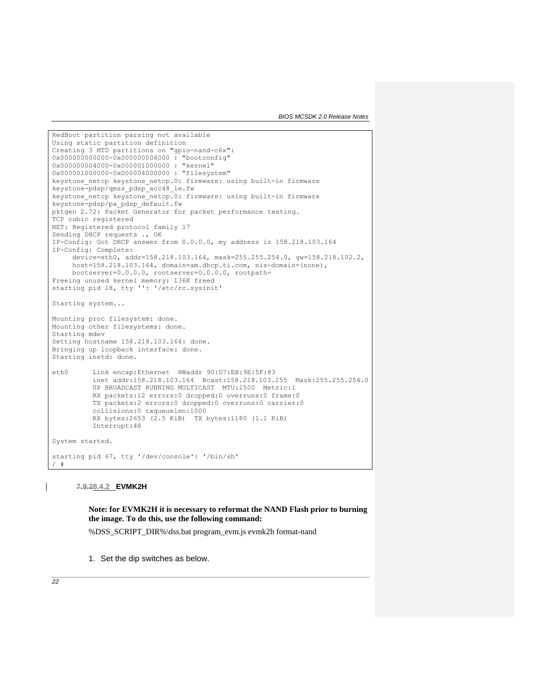*BIOS MCSDK 2.0 Release Notes*

RedBoot partition parsing not available Using static partition definition Creating 3 MTD partitions on "gpio-nand-c6x": 0x000000000000-0x000000004000 : "bootconfig" 0x000000004000-0x000001000000 : "kernel" 0x000001000000-0x000004000000 : "filesystem" keystone netcp keystone netcp.0: firmware: using built-in firmware keystone-pdsp/qmss\_pdsp\_acc48\_le.fw keystone netcp keystone netcp.0: firmware: using built-in firmware keystone-pdsp/pa\_pdsp\_default.fw pktgen 2.72: Packet Generator for packet performance testing. TCP cubic registered NET: Registered protocol family 17 Sending DHCP requests ., OK IP-Config: Got DHCP answer from 0.0.0.0, my address is 158.218.103.164 IP-Config: Complete: device=eth0, addr=158.218.103.164, mask=255.255.254.0, gw=158.218.102.2, host=158.218.103.164, domain=am.dhcp.ti.com, nis-domain=(none), bootserver=0.0.0.0, rootserver=0.0.0.0, rootpath= Freeing unused kernel memory: 136K freed starting pid 18, tty '': '/etc/rc.sysinit' Starting system... Mounting proc filesystem: done. Mounting other filesystems: done. Starting mdev Setting hostname 158.218.103.164: done. Bringing up loopback interface: done. Starting inetd: done. eth0 Link encap:Ethernet HWaddr 90:D7:EB:9E:5F:83 inet addr:158.218.103.164 Bcast:158.218.103.255 Mask:255.255.254.0 UP BROADCAST RUNNING MULTICAST MTU:1500 Metric:1 RX packets:12 errors:0 dropped:0 overruns:0 frame:0 TX packets:2 errors:0 dropped:0 overruns:0 carrier:0 collisions:0 txqueuelen:1000 RX bytes:2653 (2.5 KiB) TX bytes:1180 (1.1 KiB) Interrupt:48 System started. starting pid 67, tty '/dev/console': '/bin/sh' / #

**7.9.28.4.2 EVMK2H**

**Note: for EVMK2H it is necessary to reformat the NAND Flash prior to burning the image. To do this, use the following command:**

%DSS\_SCRIPT\_DIR%\dss.bat program\_evm.js evmk2h format-nand

1. Set the dip switches as below.